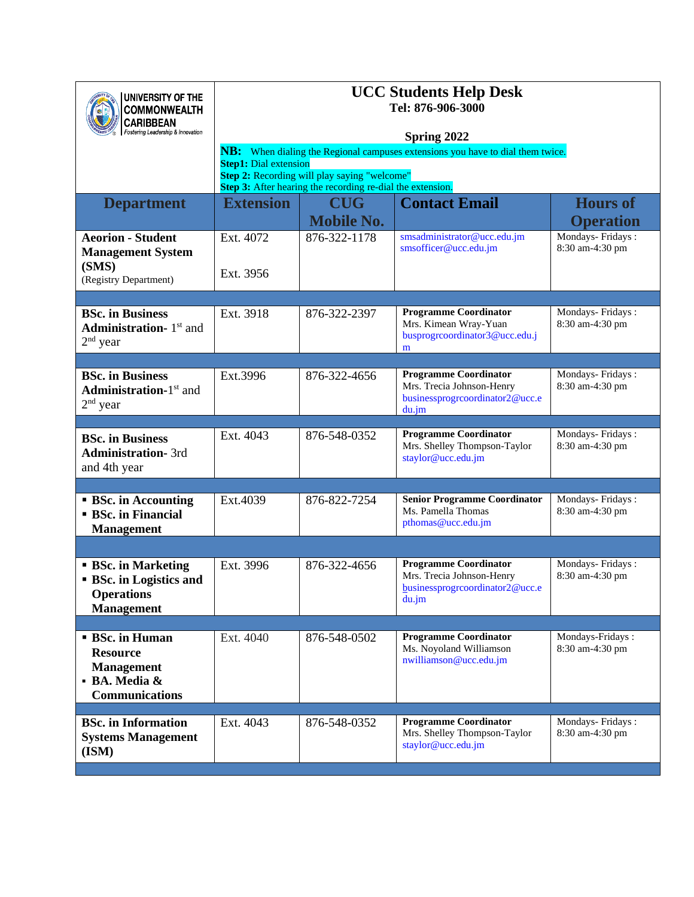| UNIVERSITY OF THE<br><b>COMMONWEALTH</b><br><b>CARIBBEAN</b><br>Fostering Leadership & Innovation      | <b>UCC Students Help Desk</b><br>Tel: 876-906-3000<br>Spring 2022                                                                                                                                                            |                                 |                                                                                                       |                                     |
|--------------------------------------------------------------------------------------------------------|------------------------------------------------------------------------------------------------------------------------------------------------------------------------------------------------------------------------------|---------------------------------|-------------------------------------------------------------------------------------------------------|-------------------------------------|
|                                                                                                        | NB: When dialing the Regional campuses extensions you have to dial them twice.<br><b>Step1:</b> Dial extension<br>Step 2: Recording will play saying "welcome"<br>Step 3: After hearing the recording re-dial the extension. |                                 |                                                                                                       |                                     |
| <b>Department</b>                                                                                      | <b>Extension</b>                                                                                                                                                                                                             | <b>CUG</b><br><b>Mobile No.</b> | <b>Contact Email</b>                                                                                  | <b>Hours of</b><br><b>Operation</b> |
| <b>Aeorion - Student</b><br><b>Management System</b><br>(SMS)<br>(Registry Department)                 | Ext. 4072<br>Ext. 3956                                                                                                                                                                                                       | 876-322-1178                    | smsadministrator@ucc.edu.jm<br>smsofficer@ucc.edu.jm                                                  | Mondays-Fridays:<br>8:30 am-4:30 pm |
|                                                                                                        |                                                                                                                                                                                                                              |                                 |                                                                                                       |                                     |
| <b>BSc.</b> in Business<br><b>Administration-</b> $1st$ and<br>$2nd$ year                              | Ext. 3918                                                                                                                                                                                                                    | 876-322-2397                    | <b>Programme Coordinator</b><br>Mrs. Kimean Wray-Yuan<br>busprogreoordinator3@ucc.edu.j<br>m          | Mondays-Fridays:<br>8:30 am-4:30 pm |
|                                                                                                        |                                                                                                                                                                                                                              |                                 |                                                                                                       |                                     |
| <b>BSc.</b> in Business<br><b>Administration-1st and</b><br>$2nd$ year                                 | Ext.3996                                                                                                                                                                                                                     | 876-322-4656                    | <b>Programme Coordinator</b><br>Mrs. Trecia Johnson-Henry<br>businessprogreoordinator2@ucc.e<br>du.jm | Mondays-Fridays:<br>8:30 am-4:30 pm |
| <b>BSc.</b> in Business<br><b>Administration-3rd</b><br>and 4th year                                   | Ext. 4043                                                                                                                                                                                                                    | 876-548-0352                    | <b>Programme Coordinator</b><br>Mrs. Shelley Thompson-Taylor<br>staylor@ucc.edu.jm                    | Mondays-Fridays:<br>8:30 am-4:30 pm |
|                                                                                                        |                                                                                                                                                                                                                              |                                 |                                                                                                       |                                     |
| <b>BSc.</b> in Accounting<br><b>BSc.</b> in Financial<br><b>Management</b>                             | Ext.4039                                                                                                                                                                                                                     | 876-822-7254                    | <b>Senior Programme Coordinator</b><br>Ms. Pamella Thomas<br>pthomas@ucc.edu.jm                       | Mondays-Fridays:<br>8:30 am-4:30 pm |
|                                                                                                        |                                                                                                                                                                                                                              |                                 |                                                                                                       |                                     |
| <b>BSc.</b> in Marketing<br><b>BSc.</b> in Logistics and<br><b>Operations</b><br><b>Management</b>     | Ext. 3996                                                                                                                                                                                                                    | 876-322-4656                    | <b>Programme Coordinator</b><br>Mrs. Trecia Johnson-Henry<br>businessprogreoordinator2@ucc.e<br>du.jm | Mondays-Fridays:<br>8:30 am-4:30 pm |
|                                                                                                        |                                                                                                                                                                                                                              |                                 |                                                                                                       |                                     |
| <b>BSc.</b> in Human<br><b>Resource</b><br><b>Management</b><br>· BA. Media &<br><b>Communications</b> | Ext. 4040                                                                                                                                                                                                                    | 876-548-0502                    | <b>Programme Coordinator</b><br>Ms. Noyoland Williamson<br>nwilliamson@ucc.edu.jm                     | Mondays-Fridays:<br>8:30 am-4:30 pm |
| <b>BSc.</b> in Information<br><b>Systems Management</b><br>(ISM)                                       | Ext. 4043                                                                                                                                                                                                                    | 876-548-0352                    | <b>Programme Coordinator</b><br>Mrs. Shelley Thompson-Taylor<br>staylor@ucc.edu.jm                    | Mondays-Fridays:<br>8:30 am-4:30 pm |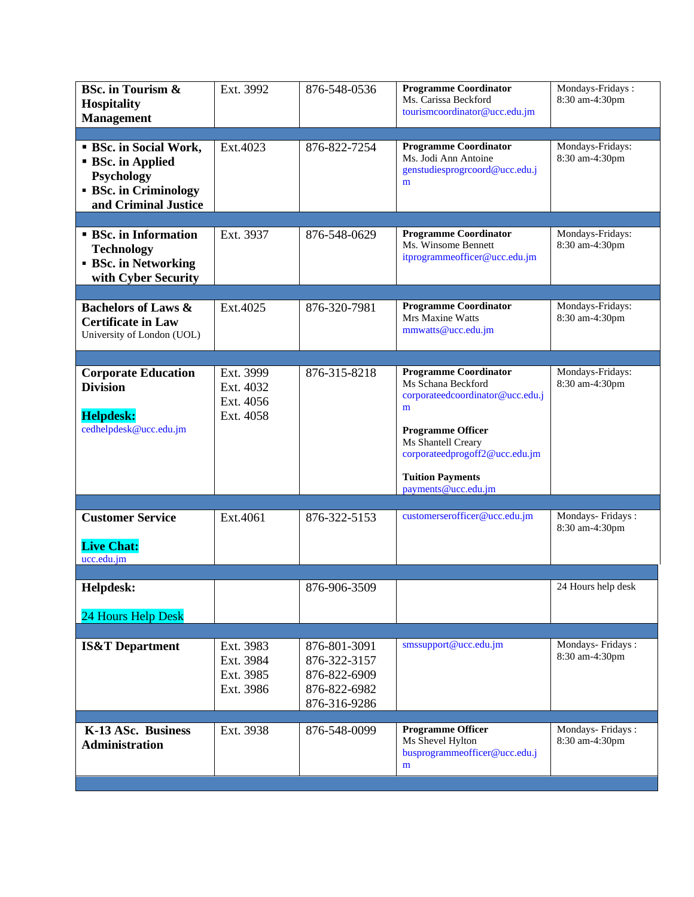| <b>BSc.</b> in Tourism &<br><b>Hospitality</b><br><b>Management</b>                                                       | Ext. 3992                                        | 876-548-0536                                                                 | <b>Programme Coordinator</b><br>Ms. Carissa Beckford<br>tourismcoordinator@ucc.edu.jm                                                                                                                                             | Mondays-Fridays:<br>8:30 am-4:30pm |
|---------------------------------------------------------------------------------------------------------------------------|--------------------------------------------------|------------------------------------------------------------------------------|-----------------------------------------------------------------------------------------------------------------------------------------------------------------------------------------------------------------------------------|------------------------------------|
|                                                                                                                           |                                                  |                                                                              | <b>Programme Coordinator</b>                                                                                                                                                                                                      | Mondays-Fridays:                   |
| <b>BSc.</b> in Social Work,<br><b>BSc.</b> in Applied<br>Psychology<br><b>BSc.</b> in Criminology<br>and Criminal Justice | Ext.4023                                         | 876-822-7254                                                                 | Ms. Jodi Ann Antoine<br>genstudiesprogrcoord@ucc.edu.j<br>m                                                                                                                                                                       | 8:30 am-4:30pm                     |
| <b>BSc.</b> in Information                                                                                                | Ext. 3937                                        | 876-548-0629                                                                 | <b>Programme Coordinator</b>                                                                                                                                                                                                      | Mondays-Fridays:                   |
| <b>Technology</b><br><b>BSc.</b> in Networking<br>with Cyber Security                                                     |                                                  |                                                                              | Ms. Winsome Bennett<br>itprogrammeofficer@ucc.edu.jm                                                                                                                                                                              | 8:30 am-4:30pm                     |
|                                                                                                                           |                                                  |                                                                              |                                                                                                                                                                                                                                   |                                    |
| <b>Bachelors of Laws &amp;</b><br><b>Certificate in Law</b><br>University of London (UOL)                                 | Ext.4025                                         | 876-320-7981                                                                 | <b>Programme Coordinator</b><br>Mrs Maxine Watts<br>mmwatts@ucc.edu.jm                                                                                                                                                            | Mondays-Fridays:<br>8:30 am-4:30pm |
|                                                                                                                           |                                                  |                                                                              |                                                                                                                                                                                                                                   |                                    |
| <b>Corporate Education</b><br><b>Division</b><br><b>Helpdesk:</b><br>cedhelpdesk@ucc.edu.jm                               | Ext. 3999<br>Ext. 4032<br>Ext. 4056<br>Ext. 4058 | 876-315-8218                                                                 | <b>Programme Coordinator</b><br>Ms Schana Beckford<br>corporateedcoordinator@ucc.edu.j<br>m<br><b>Programme Officer</b><br>Ms Shantell Creary<br>corporateedprogoff2@ucc.edu.jm<br><b>Tuition Payments</b><br>payments@ucc.edu.jm | Mondays-Fridays:<br>8:30 am-4:30pm |
|                                                                                                                           |                                                  |                                                                              |                                                                                                                                                                                                                                   |                                    |
| <b>Customer Service</b><br><b>Live Chat:</b><br>ucc.edu.jm                                                                | Ext.4061                                         | 876-322-5153                                                                 | customerserofficer@ucc.edu.jm                                                                                                                                                                                                     | Mondays-Fridays:<br>8:30 am-4:30pm |
|                                                                                                                           |                                                  |                                                                              |                                                                                                                                                                                                                                   |                                    |
| Helpdesk:<br>24 Hours Help Desk                                                                                           |                                                  | 876-906-3509                                                                 |                                                                                                                                                                                                                                   | 24 Hours help desk                 |
|                                                                                                                           |                                                  |                                                                              |                                                                                                                                                                                                                                   |                                    |
| <b>IS&amp;T</b> Department                                                                                                | Ext. 3983<br>Ext. 3984<br>Ext. 3985<br>Ext. 3986 | 876-801-3091<br>876-322-3157<br>876-822-6909<br>876-822-6982<br>876-316-9286 | smssupport@ucc.edu.jm                                                                                                                                                                                                             | Mondays-Fridays:<br>8:30 am-4:30pm |
| K-13 ASc. Business<br><b>Administration</b>                                                                               | Ext. 3938                                        | 876-548-0099                                                                 | Programme Officer<br>Ms Shevel Hylton<br>busprogrammeofficer@ucc.edu.j<br>m                                                                                                                                                       | Mondays-Fridays:<br>8:30 am-4:30pm |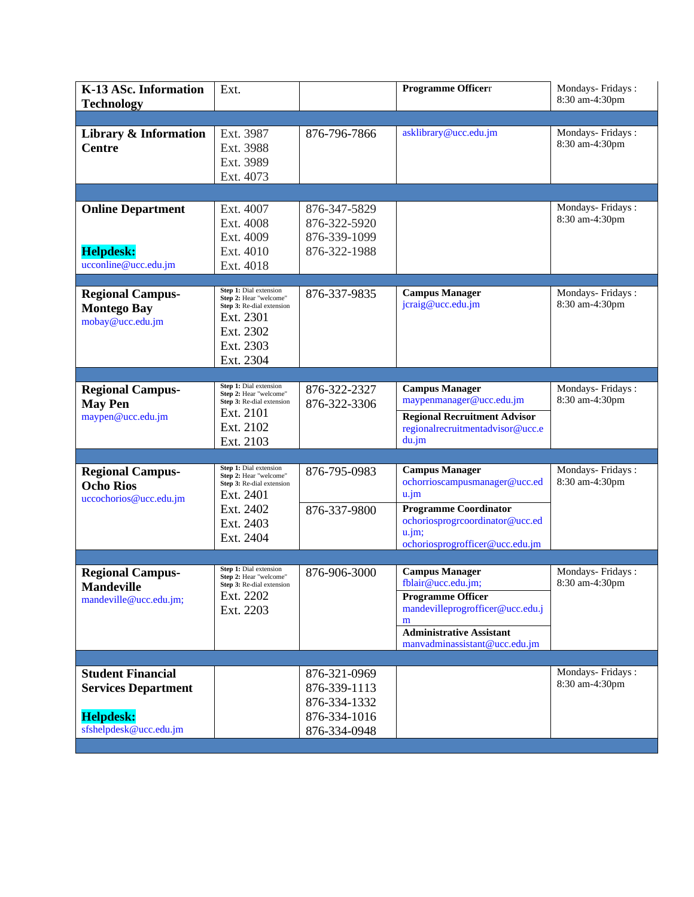| K-13 ASc. Information<br><b>Technology</b>                                 | Ext.                                                                                                                              |                                                              | Programme Officerr                                                                                                                                                                   | Mondays-Fridays:<br>8:30 am-4:30pm |
|----------------------------------------------------------------------------|-----------------------------------------------------------------------------------------------------------------------------------|--------------------------------------------------------------|--------------------------------------------------------------------------------------------------------------------------------------------------------------------------------------|------------------------------------|
|                                                                            |                                                                                                                                   |                                                              |                                                                                                                                                                                      |                                    |
| Library & Information<br><b>Centre</b>                                     | Ext. 3987<br>Ext. 3988<br>Ext. 3989<br>Ext. 4073                                                                                  | 876-796-7866                                                 | asklibrary@ucc.edu.jm                                                                                                                                                                | Mondays-Fridays:<br>8:30 am-4:30pm |
|                                                                            |                                                                                                                                   |                                                              |                                                                                                                                                                                      |                                    |
| <b>Online Department</b><br><b>Helpdesk:</b><br>ucconline@ucc.edu.jm       | Ext. 4007<br>Ext. 4008<br>Ext. 4009<br>Ext. 4010<br>Ext. 4018                                                                     | 876-347-5829<br>876-322-5920<br>876-339-1099<br>876-322-1988 |                                                                                                                                                                                      | Mondays-Fridays:<br>8:30 am-4:30pm |
| <b>Regional Campus-</b><br><b>Montego Bay</b><br>mobay@ucc.edu.jm          | Step 1: Dial extension<br>Step 2: Hear "welcome"<br>Step 3: Re-dial extension<br>Ext. 2301<br>Ext. 2302<br>Ext. 2303<br>Ext. 2304 | 876-337-9835                                                 | <b>Campus Manager</b><br>jcraig@ucc.edu.jm                                                                                                                                           | Mondays-Fridays:<br>8:30 am-4:30pm |
|                                                                            |                                                                                                                                   |                                                              |                                                                                                                                                                                      |                                    |
| <b>Regional Campus-</b><br><b>May Pen</b><br>maypen@ucc.edu.jm             | Step 1: Dial extension<br>Step 2: Hear "welcome"<br>Step 3: Re-dial extension<br>Ext. 2101<br>Ext. 2102<br>Ext. 2103              | 876-322-2327<br>876-322-3306                                 | <b>Campus Manager</b><br>maypenmanager@ucc.edu.jm<br><b>Regional Recruitment Advisor</b><br>regionalrecruitmentadvisor@ucc.e<br>du.jm                                                | Mondays-Fridays:<br>8:30 am-4:30pm |
|                                                                            |                                                                                                                                   |                                                              |                                                                                                                                                                                      |                                    |
| <b>Regional Campus-</b><br><b>Ocho Rios</b><br>uccochorios@ucc.edu.jm      | Step 1: Dial extension<br>Step 2: Hear "welcome"<br>Step 3: Re-dial extension<br>Ext. 2401<br>Ext. 2402<br>Ext. 2403<br>Ext. 2404 | 876-795-0983<br>876-337-9800                                 | <b>Campus Manager</b><br>ochorrioscampusmanager@ucc.ed<br>$u$ .jm<br><b>Programme Coordinator</b><br>ochoriosprogreoordinator@ucc.ed<br>$u$ .jm;<br>ochoriosprogrofficer@ucc.edu.jm  | Mondays-Fridays:<br>8:30 am-4:30pm |
|                                                                            |                                                                                                                                   |                                                              |                                                                                                                                                                                      |                                    |
| <b>Regional Campus-</b><br><b>Mandeville</b><br>mandeville@ucc.edu.jm;     | Step 1: Dial extension<br>Step 2: Hear "welcome"<br>Step 3: Re-dial extension<br>Ext. 2202<br>Ext. 2203                           | 876-906-3000                                                 | <b>Campus Manager</b><br>fblair@ucc.edu.jm;<br><b>Programme Officer</b><br>mandevilleprogrofficer@ucc.edu.j<br>m<br><b>Administrative Assistant</b><br>manvadminassistant@ucc.edu.jm | Mondays-Fridays:<br>8:30 am-4:30pm |
|                                                                            |                                                                                                                                   |                                                              |                                                                                                                                                                                      |                                    |
| <b>Student Financial</b><br><b>Services Department</b><br><b>Helpdesk:</b> |                                                                                                                                   | 876-321-0969<br>876-339-1113<br>876-334-1332<br>876-334-1016 |                                                                                                                                                                                      | Mondays-Fridays:<br>8:30 am-4:30pm |
| sfshelpdesk@ucc.edu.jm                                                     |                                                                                                                                   | 876-334-0948                                                 |                                                                                                                                                                                      |                                    |